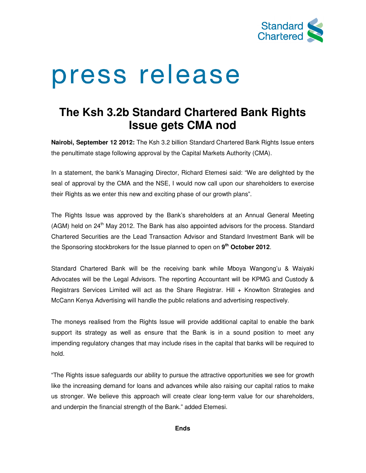

# press release

# **The Ksh 3.2b Standard Chartered Bank Rights Issue gets CMA nod**

**Nairobi, September 12 2012:** The Ksh 3.2 billion Standard Chartered Bank Rights Issue enters the penultimate stage following approval by the Capital Markets Authority (CMA).

In a statement, the bank's Managing Director, Richard Etemesi said: "We are delighted by the seal of approval by the CMA and the NSE, I would now call upon our shareholders to exercise their Rights as we enter this new and exciting phase of our growth plans".

The Rights Issue was approved by the Bank's shareholders at an Annual General Meeting (AGM) held on 24<sup>th</sup> May 2012. The Bank has also appointed advisors for the process. Standard Chartered Securities are the Lead Transaction Advisor and Standard Investment Bank will be the Sponsoring stockbrokers for the Issue planned to open on **9 th October 2012**.

Standard Chartered Bank will be the receiving bank while Mboya Wangong'u & Waiyaki Advocates will be the Legal Advisors. The reporting Accountant will be KPMG and Custody & Registrars Services Limited will act as the Share Registrar. Hill + Knowlton Strategies and McCann Kenya Advertising will handle the public relations and advertising respectively.

The moneys realised from the Rights Issue will provide additional capital to enable the bank support its strategy as well as ensure that the Bank is in a sound position to meet any impending regulatory changes that may include rises in the capital that banks will be required to hold.

"The Rights issue safeguards our ability to pursue the attractive opportunities we see for growth like the increasing demand for loans and advances while also raising our capital ratios to make us stronger. We believe this approach will create clear long-term value for our shareholders, and underpin the financial strength of the Bank." added Etemesi.